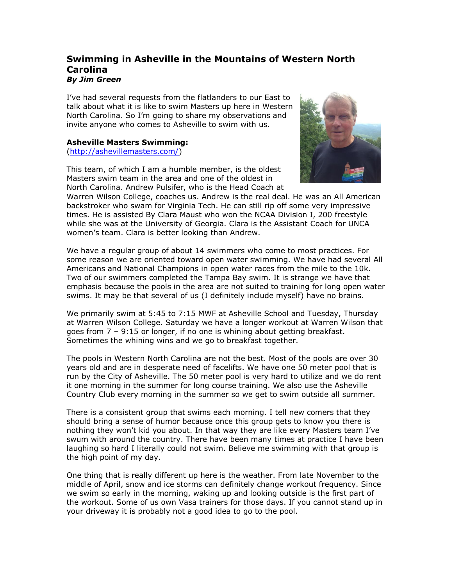## **Swimming in Asheville in the Mountains of Western North Carolina** *By Jim Green*

I've had several requests from the flatlanders to our East to talk about what it is like to swim Masters up here in Western North Carolina. So I'm going to share my observations and invite anyone who comes to Asheville to swim with us.

## **Asheville Masters Swimming:**

[\(http://ashevillemasters.com/\)](http://ashevillemasters.com/)

This team, of which I am a humble member, is the oldest Masters swim team in the area and one of the oldest in North Carolina. Andrew Pulsifer, who is the Head Coach at



Warren Wilson College, coaches us. Andrew is the real deal. He was an All American backstroker who swam for Virginia Tech. He can still rip off some very impressive times. He is assisted By Clara Maust who won the NCAA Division I, 200 freestyle while she was at the University of Georgia. Clara is the Assistant Coach for UNCA women's team. Clara is better looking than Andrew.

We have a regular group of about 14 swimmers who come to most practices. For some reason we are oriented toward open water swimming. We have had several All Americans and National Champions in open water races from the mile to the 10k. Two of our swimmers completed the Tampa Bay swim. It is strange we have that emphasis because the pools in the area are not suited to training for long open water swims. It may be that several of us (I definitely include myself) have no brains.

We primarily swim at 5:45 to 7:15 MWF at Asheville School and Tuesday, Thursday at Warren Wilson College. Saturday we have a longer workout at Warren Wilson that goes from 7 – 9:15 or longer, if no one is whining about getting breakfast. Sometimes the whining wins and we go to breakfast together.

The pools in Western North Carolina are not the best. Most of the pools are over 30 years old and are in desperate need of facelifts. We have one 50 meter pool that is run by the City of Asheville. The 50 meter pool is very hard to utilize and we do rent it one morning in the summer for long course training. We also use the Asheville Country Club every morning in the summer so we get to swim outside all summer.

There is a consistent group that swims each morning. I tell new comers that they should bring a sense of humor because once this group gets to know you there is nothing they won't kid you about. In that way they are like every Masters team I've swum with around the country. There have been many times at practice I have been laughing so hard I literally could not swim. Believe me swimming with that group is the high point of my day.

One thing that is really different up here is the weather. From late November to the middle of April, snow and ice storms can definitely change workout frequency. Since we swim so early in the morning, waking up and looking outside is the first part of the workout. Some of us own Vasa trainers for those days. If you cannot stand up in your driveway it is probably not a good idea to go to the pool.